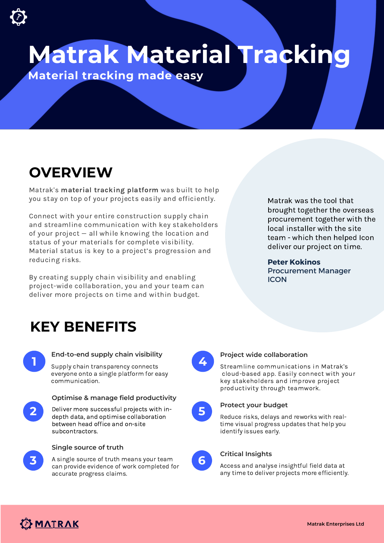**Matrak Material Tracking**

**Material tracking made easy**

## **OVERVIEW**

Matrak's material tracking platform was built to help you stay on top of your projects easily and efficiently.

Connect with your entire construction supply chain and streamline communication with key stakeholders of your project — all while knowing the location and status of your materials for complete visibility. Material status is key to a project's progression and reducing risks.

By creating supply chain visibility and enabling project-wide collaboration, you and your team can deliver more projects on time and within budget.

Matrak was the tool that brought together the overseas procurement together with the local installer with the site team - which then helped Icon deliver our project on time.

#### **Peter Kokinos**

Procurement Manager **ICON** 

### **KEY BENEFITS**



#### **End-to-end supply chain visibility**

**1 4** Supply chain transparency connects everyone onto a single platform for easy communication.



#### **Optimise & manage field productivity**

**2 5** Deliver more successful projects with indepth data, and optimise collaboration between head office and on-site subcontractors.



#### **Single source of truth**

**3** A single source of truth means your team **6** can provide evidence of work completed for accurate progress claims.



#### **Project wide collaboration**

Streamline communications in Matrak's cloud-based app. Easily connect with your key stakeholders and improve project productivity through teamwork.



#### **Protect your budget**

Reduce risks, delays and reworks with realtime visual progress updates that help you identify issues early.



#### **Critical Insights**

Access and analyse insightful field data at any time to deliver projects more efficiently.